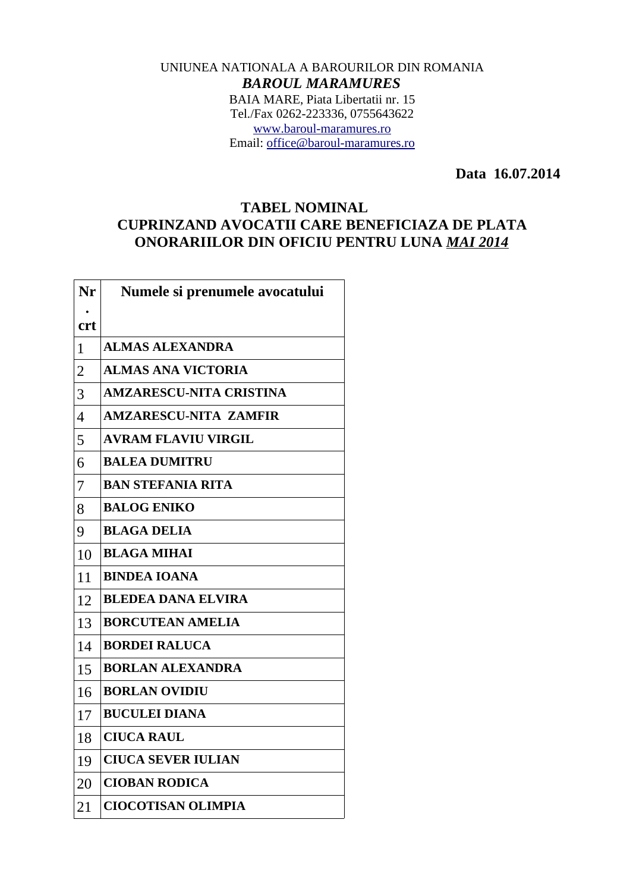## UNIUNEA NATIONALA A BAROURILOR DIN ROMANIA *BAROUL MARAMURES* BAIA MARE, Piata Libertatii nr. 15 Tel./Fax 0262-223336, 0755643622 [www.baroul-maramures.ro](http://www.baroul-maramures.ro/) Email: [office@baroul-maramures.ro](mailto:office@baroul-maramures.ro)

 **Data 16.07.2014**

## **TABEL NOMINAL CUPRINZAND AVOCATII CARE BENEFICIAZA DE PLATA ONORARIILOR DIN OFICIU PENTRU LUNA** *MAI 2014*

| Nr             | Numele si prenumele avocatului |
|----------------|--------------------------------|
| <b>crt</b>     |                                |
| $\mathbf 1$    | <b>ALMAS ALEXANDRA</b>         |
| $\overline{2}$ | <b>ALMAS ANA VICTORIA</b>      |
| 3              | <b>AMZARESCU-NITA CRISTINA</b> |
| $\overline{4}$ | <b>AMZARESCU-NITA ZAMFIR</b>   |
| 5              | <b>AVRAM FLAVIU VIRGIL</b>     |
| 6              | <b>BALEA DUMITRU</b>           |
| 7              | <b>BAN STEFANIA RITA</b>       |
| 8              | <b>BALOG ENIKO</b>             |
| 9              | <b>BLAGA DELIA</b>             |
| 10             | <b>BLAGA MIHAI</b>             |
| 11             | <b>BINDEA IOANA</b>            |
| 12             | <b>BLEDEA DANA ELVIRA</b>      |
| 13             | <b>BORCUTEAN AMELIA</b>        |
| 14             | <b>BORDEI RALUCA</b>           |
| 15             | <b>BORLAN ALEXANDRA</b>        |
| 16             | <b>BORLAN OVIDIU</b>           |
| 17             | <b>BUCULEI DIANA</b>           |
| 18             | <b>CIUCA RAUL</b>              |
| 19             | <b>CIUCA SEVER IULIAN</b>      |
| 20             | <b>CIOBAN RODICA</b>           |
| 21             | <b>CIOCOTISAN OLIMPIA</b>      |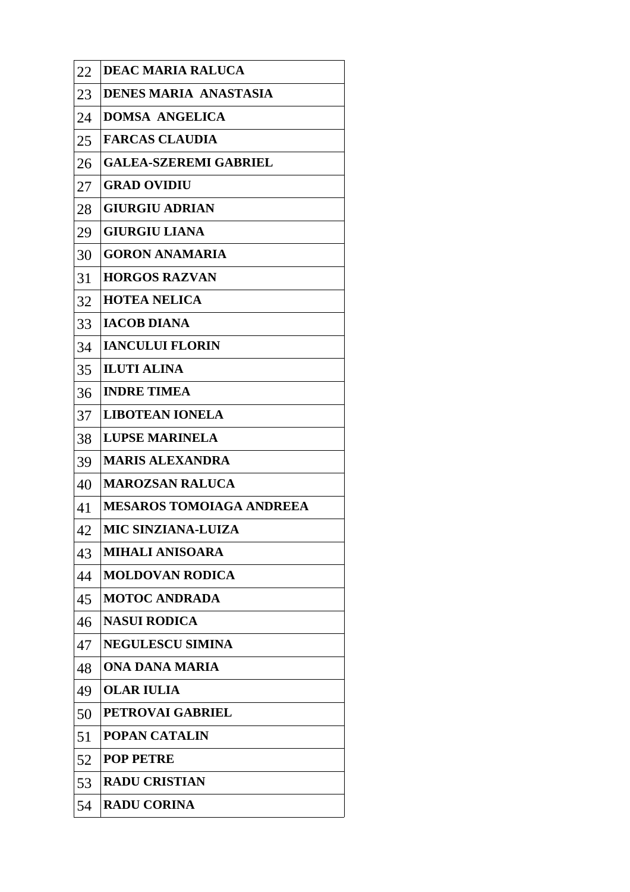| 22 | <b>DEAC MARIA RALUCA</b>        |
|----|---------------------------------|
| 23 | <b>DENES MARIA ANASTASIA</b>    |
| 24 | <b>DOMSA ANGELICA</b>           |
| 25 | <b>FARCAS CLAUDIA</b>           |
| 26 | <b>GALEA-SZEREMI GABRIEL</b>    |
| 27 | <b>GRAD OVIDIU</b>              |
| 28 | <b>GIURGIU ADRIAN</b>           |
| 29 | <b>GIURGIU LIANA</b>            |
| 30 | <b>GORON ANAMARIA</b>           |
| 31 | <b>HORGOS RAZVAN</b>            |
| 32 | <b>HOTEA NELICA</b>             |
| 33 | <b>IACOB DIANA</b>              |
| 34 | <b>IANCULUI FLORIN</b>          |
| 35 | <b>ILUTI ALINA</b>              |
| 36 | <b>INDRE TIMEA</b>              |
| 37 | <b>LIBOTEAN IONELA</b>          |
| 38 | <b>LUPSE MARINELA</b>           |
| 39 | <b>MARIS ALEXANDRA</b>          |
| 40 | <b>MAROZSAN RALUCA</b>          |
| 41 | <b>MESAROS TOMOIAGA ANDREEA</b> |
| 42 | MIC SINZIANA-LUIZA              |
| 43 | <b>MIHALI ANISOARA</b>          |
| 44 | <b>MOLDOVAN RODICA</b>          |
| 45 | <b>MOTOC ANDRADA</b>            |
| 46 | <b>NASUI RODICA</b>             |
| 47 | <b>NEGULESCU SIMINA</b>         |
| 48 | ONA DANA MARIA                  |
| 49 | <b>OLAR IULIA</b>               |
| 50 | <b>PETROVAI GABRIEL</b>         |
| 51 | <b>POPAN CATALIN</b>            |
| 52 | <b>POP PETRE</b>                |
| 53 | <b>RADU CRISTIAN</b>            |
| 54 | <b>RADU CORINA</b>              |